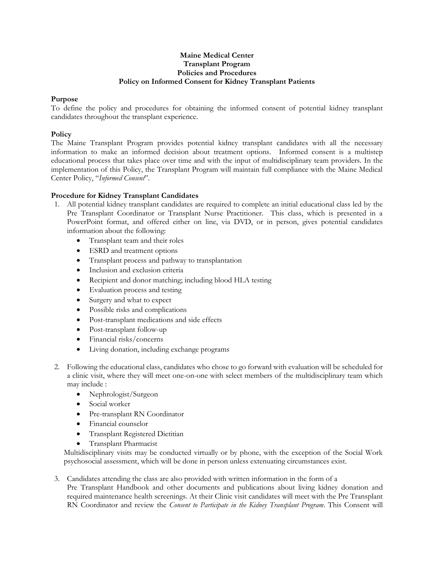### **Maine Medical Center Transplant Program Policies and Procedures Policy on Informed Consent for Kidney Transplant Patients**

## **Purpose**

To define the policy and procedures for obtaining the informed consent of potential kidney transplant candidates throughout the transplant experience.

### **Policy**

The Maine Transplant Program provides potential kidney transplant candidates with all the necessary information to make an informed decision about treatment options. Informed consent is a multistep educational process that takes place over time and with the input of multidisciplinary team providers. In the implementation of this Policy, the Transplant Program will maintain full compliance with the Maine Medical Center Policy, "*Informed Consent*".

# **Procedure for Kidney Transplant Candidates**

- 1. All potential kidney transplant candidates are required to complete an initial educational class led by the Pre Transplant Coordinator or Transplant Nurse Practitioner. This class, which is presented in a PowerPoint format, and offered either on line, via DVD, or in person, gives potential candidates information about the following:
	- Transplant team and their roles
	- ESRD and treatment options
	- Transplant process and pathway to transplantation
	- Inclusion and exclusion criteria
	- Recipient and donor matching; including blood HLA testing
	- Evaluation process and testing
	- Surgery and what to expect
	- Possible risks and complications
	- Post-transplant medications and side effects
	- Post-transplant follow-up
	- Financial risks/concerns
	- Living donation, including exchange programs
- 2. Following the educational class, candidates who chose to go forward with evaluation will be scheduled for a clinic visit, where they will meet one-on-one with select members of the multidisciplinary team which may include :
	- Nephrologist/Surgeon
	- Social worker
	- Pre-transplant RN Coordinator
	- Financial counselor
	- Transplant Registered Dietitian
	- Transplant Pharmacist

Multidisciplinary visits may be conducted virtually or by phone, with the exception of the Social Work psychosocial assessment, which will be done in person unless extenuating circumstances exist.

3. Candidates attending the class are also provided with written information in the form of a Pre Transplant Handbook and other documents and publications about living kidney donation and required maintenance health screenings. At their Clinic visit candidates will meet with the Pre Transplant RN Coordinator and review the *Consent to Participate in the Kidney Transplant Program*. This Consent will